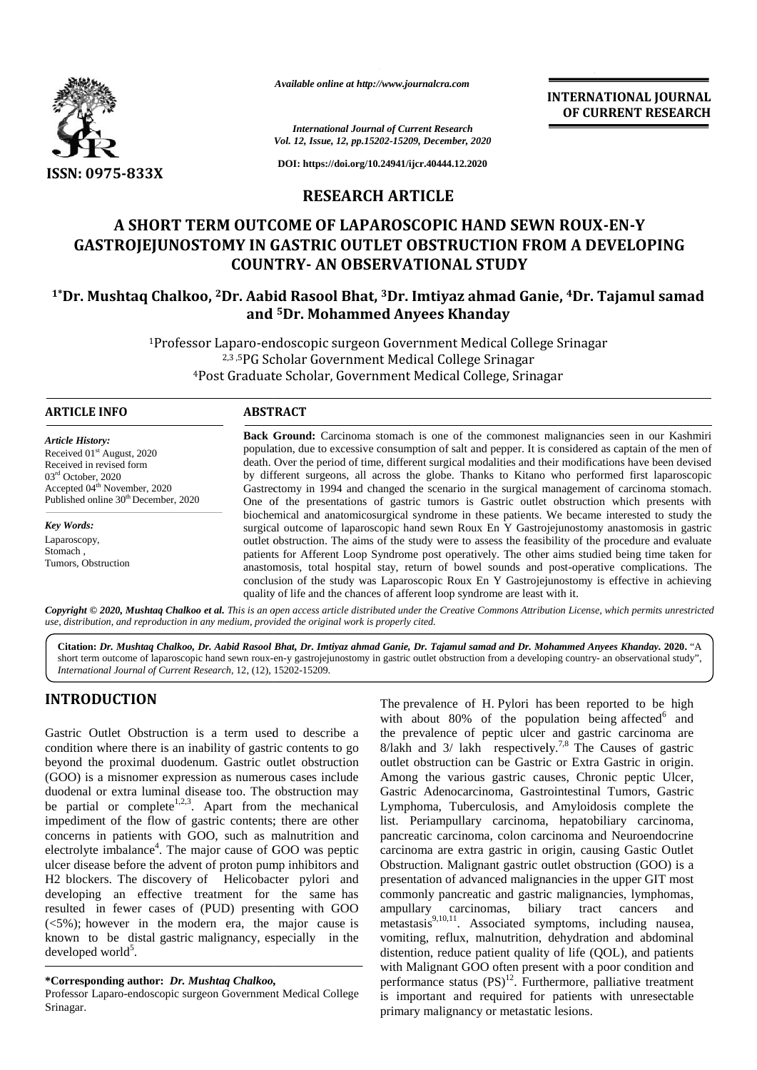

*Available online at http://www.journalcra.com*

**INTERNATIONAL JOURNAL OF CURRENT RESEARCH**

*International Journal of Current Research Vol. 12, Issue, 12, pp.15202-15209, December, 2020*

**DOI: https://doi.org/10.24941/ijcr.40444.12.2020**

## **RESEARCH ARTICLE**

# **A SHORT TERM OUTCOME OF LAPAROSCOPIC HAND SEWN ROUX-EN-Y** GASTROJEJUNOSTOMY IN GASTRIC OUTLET OBSTRUCTION FROM A DEVELOPING **COUNTRY- AN OBSERVATIONAL STUDY**

# **1\*Dr. Mushtaq Chalkoo, <sup>2</sup>Dr. Aabid Rasool Bhat, <sup>3</sup>Dr. Imtiyaz ahmad Ganie, <sup>4</sup>Dr. Tajamul samad 2Aabid Rasool 3Dr. ahmad Ganie,4and <sup>5</sup>Dr. Mohammed Anyees Khanday**

<sup>1</sup>Professor Laparo-endoscopic surgeon Government Medical College Srinagar 2,3 ,5PG Scholar Government Medical College Srinagar <sup>4</sup>Post Graduate Scholar, Government Medical College, Srinagar College SrinagarGraduate Scholar,

#### **ARTICLE INFO ABSTRACT ARTICLE ABSTRACT**

*Article History:* Received  $01<sup>st</sup>$  August, 2020 Received in revised form 03rd October, 2020 Accepted 04<sup>th</sup> November, 2020 Published online 30<sup>th</sup> December, 2020

*Key Words:* Laparoscopy, Stomach , Tumors, Obstruction

**Back Ground:** Carcinoma stomach is one of the commonest malignancies seen in our Kashmiri population, due to excessive consumption of salt and pepper. It is considered as captain of the men of death. Over the period of time, different surgical modalities and their modifications have been devised by different surgeons, all across the globe. Thanks to Kitano who performed first laparoscopic Gastrectomy in 1994 and changed the scenario in the surgical management of carcinoma stomach. One of the presentations of gastric tumors is Gastric outlet obstruction which presents with biochemical and anatomicosurgical syndrome in these patients. We became interested to study the surgical outcome of laparoscopic hand sewn Roux En Y Gastrojejunostomy anastomosis in gastric outlet obstruction. The aims of the study were to assess the feasibility of the procedure and evaluate patients for Afferent Loop Syndrome post operatively. The other aims studied being time taken for anastomosis, total hospital stay, return of bowel sounds and post-operative complications. The conclusion of the study was Laparoscopic Roux En Y Gastrojejunostomy is effective in achieving quality of life and the chances of afferent loop syndrome are least with it. **Back Ground:** Carcinoma stomach is one of the commonest malignancies seen in our Kashmiri population, due to excessive consumption of salt and pepper. It is considered as captain of the men of death. Over the period of ti biochemical and anatomicosurgical syndrome in these patients. We became interested to study surgical outcome of laparoscopic hand sewn Roux En Y Gastrojejunostomy anastomosis in gas outlet obstruction. The aims of the stud *Available online at http://www.journalcra.com*<br> *https://www.journalcra.com*<br> *https://do.org/10.24941Ajer.4044412.1*<br> **https://do.org/10.24941Ajer.4044412.1**<br> **RESEARCH ARTICLE**<br> **ASHORT TERM OUTCOME OF LAPAROSCOPIC FORE** Accepted 04<sup>th</sup> November, 2020<br>
Published online 30<sup>th</sup> December, 2020<br>
Done of the presentations of gastric tumors is Gastric outlet obstruction which presentations<br>
Laparoscopy,<br>
Laparoscopy,<br>
Laparoscopy,<br>
Laparoscopy,<br> **INTERNATE TOMAL CONTROL INTERNATE CONSULTS (SEE AND TERRNATE SEE AND A SURFAMETER RESEAR<br>
TO CURRENT RESEAR<br>
TO CURRENT RESEAR<br>
TO CURRENT RESEAR<br>
TO CURRENT RESEAR<br>
TO CURCOME OF LAPAROSCOPIC HAND SEWN ROUX-EN-Y<br>
OUTCOM** 

Copyright © 2020, Mushtaq Chalkoo et al. This is an open access article distributed under the Creative Commons Attribution License, which permits unrestricted **Copyright © 2020, Mushtaq Chalkoo et al.** This is an open access article distributed under the Creative<br>use, distribution, and reproduction in any medium, provided the original work is properly cited.

**Citation:** *Dr. Mushtaq Chalkoo, Dr. Aabid Rasool Bhat, Dr. Imtiyaz ahmad Ganie, Dr. Tajamul samad and Dr. Mohammed Anyees Khanday.* **2020.** "A *Dr. Aabid Rasool* **2020.**short term outcome of laparoscopic hand sewn roux-en-y gastrojejunostomy in gastric outlet obstruction from a developing country- an observational study", *International Journal of Current Research*, 12, (12), 15202-15209.

# **INTRODUCTION INTRODUCTION**

Gastric Outlet Obstruction is a term used to describe a condition where there is an inability of gastric contents to go beyond the proximal duodenum. Gastric outlet obstruction (GOO) is a misnomer expression as numerous cases include duodenal or extra luminal disease too. The obstruction may be partial or complete<sup>1,2,3</sup>. Apart from the mechanical I duodenal or extra luminal disease too. The obstruction may G<br>be partial or complete<sup>1,2,3</sup>. Apart from the mechanical L<sub>i</sub><br>impediment of the flow of gastric contents; there are other list concerns in patients with GOO, such as malnutrition and electrolyte imbalance<sup>4</sup>. The major cause of GOO was peptic card ulcer disease before the advent of proton pump inhibitors and H2 blockers. The discovery of Helicobacter pylori and developing an effective treatment for the same has resulted in fewer cases of (PUD) presenting with GOO resulted in fewer cases of (PUD) presenting with GOO am  $(<5\%)$ ; however in the modern era, the major cause is me known to be distal gastric malignancy, especially in the known to be distal g<br>developed world<sup>5</sup>. Gastric Outlet Obstruction is a term used to describe a the condition where there is an inability of gastric contents to go 8/la beyond the proximal duodenum. Gastric outlet obstruction outl (GOO) is a misnomer expression concerns in patients with GOO, such as malnutrition and patent petectrolyte imbalance<sup>4</sup>. The major cause of GOO was peptic cause disease before the advent of proton pump inhibitors and Ob H2 blockers. The discovery of Hel

Professor Laparo-endoscopic surgeon Government Medical College is Srinagar.

The prevalence of H. Pylori has been reported to be high with about 80% of the population being affected $6$  and the prevalence of peptic ulcer and gastric carcinoma are 8/lakh and  $3/$  lakh respectively.<sup>7,8</sup> The Causes of gastric outlet obstruction can be Gastric or Extra Gastric in origin. Among the various gastric causes, Chronic peptic Ulcer, Gastric Adenocarcinoma, Gastrointestinal Tumors, Gastric Lymphoma, Tuberculosis, and Amyloidosis complete the list. Periampullary carcinoma, hepatobiliary carcinoma, pancreatic carcinoma, colon carcinoma and Neuroendocrine carcinoma are extra gastric in origin, causing Gastic Outlet Obstruction. Malignant gastric outlet obstruction (GOO) is a presentation of advanced malignancies in the upper GIT most commonly pancreatic and gastric malignancies, lymphomas, ampullary carcinomas, biliary tract cancers and metastasis<sup>9,10,11</sup>. Associated symptoms, including nausea, vomiting, reflux, malnutrition, dehydration and abdominal distention, reduce patient quality of life (OOL), and patients with Malignant GOO often present with a poor condition and performance status  $(PS)^{12}$ . Furthermore, palliative treatment is important and required for patients with unresectable primary malignancy or metastatic lesions. **3.4**<br> **EXERCISE THE MONTENT RESERVATION CONTINUOS CONTINUOS CONTINUOS CONTINUOS CONTINUOS CONTINUOS CONTINUOS CONTINUOS CONTINUOS CONTINUOS CONTINUOS CONTINUOS CONTINUOS CONTINUOS CONTINUOS CONTINUOS CONTINUOS CONTINUOS** 

**<sup>\*</sup>Corresponding author:** *Dr. Mushtaq Chalkoo,* **\*Corresponding** *Mushtaq Chalkoo,*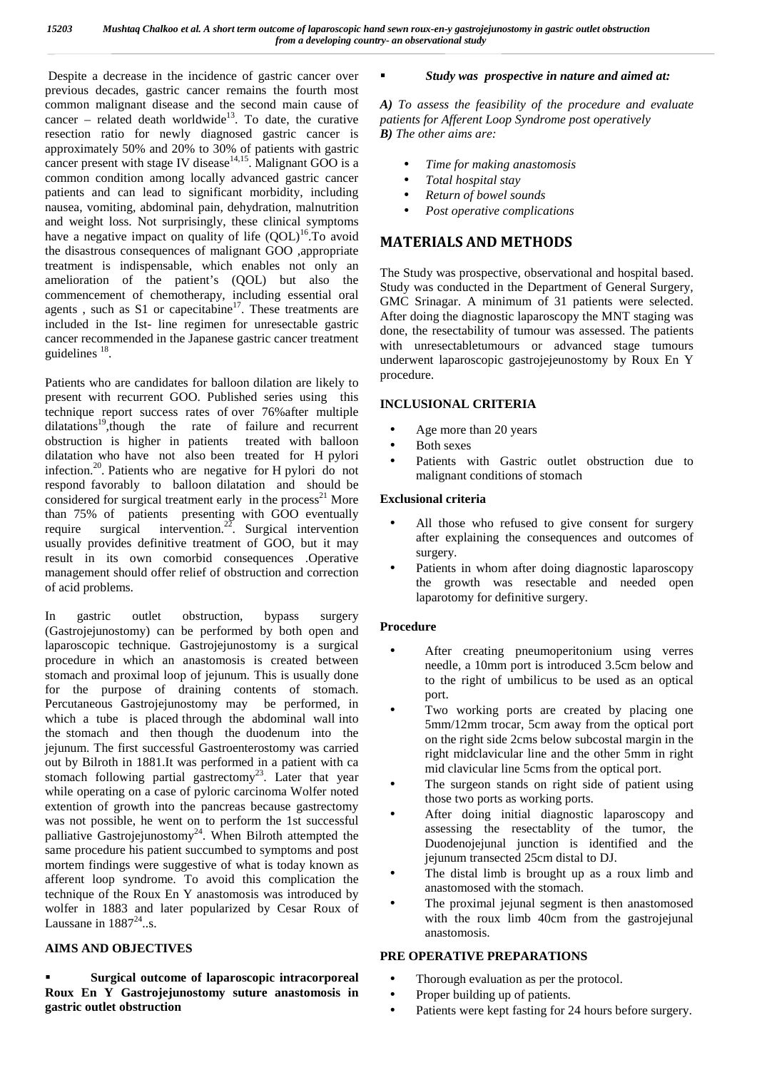Despite a decrease in the incidence of gastric cancer over previous decades, gastric cancer remains the fourth most common malignant disease and the second main cause of cancer – related death worldwide<sup>13</sup>. To date, the curative resection ratio for newly diagnosed gastric cancer is approximately 50% and 20% to 30% of patients with gastric cancer present with stage IV disease<sup>14,15</sup>. Malignant GOO is a common condition among locally advanced gastric cancer patients and can lead to significant morbidity, including nausea, vomiting, abdominal pain, dehydration, malnutrition and weight loss. Not surprisingly, these clinical symptoms have a negative impact on quality of life  $(QOL)^{16}$ . To avoid the disastrous consequences of malignant GOO ,appropriate treatment is indispensable, which enables not only an amelioration of the patient's (QOL) but also the commencement of chemotherapy, including essential oral agents, such as  $S1$  or capecitabine<sup>17</sup>. These treatments are included in the Ist- line regimen for unresectable gastric cancer recommended in the Japanese gastric cancer treatment guidelines <sup>18</sup>.

Patients who are candidates for balloon dilation are likely to present with recurrent GOO. Published series using this technique report success rates of over 76%after multiple dilatations<sup>19</sup>,though the rate of failure and recurrent obstruction is higher in patients treated with balloon dilatation who have not also been treated for H pylori infection.<sup>20</sup>. Patients who are negative for H pylori do not respond favorably to balloon dilatation and should be considered for surgical treatment early in the process<sup>21</sup> More than 75% of patients presenting with GOO eventually require surgical intervention.<sup>22</sup>. Surgical intervention usually provides definitive treatment of GOO, but it may result in its own comorbid consequences .Operative management should offer relief of obstruction and correction of acid problems.

In gastric outlet obstruction, bypass surgery (Gastrojejunostomy) can be performed by both open and laparoscopic technique. Gastrojejunostomy is a surgical procedure in which an anastomosis is created between stomach and proximal loop of jejunum. This is usually done for the purpose of draining contents of stomach. Percutaneous Gastrojejunostomy may be performed, in which a tube is placed through the abdominal wall into the stomach and then though the duodenum into the jejunum. The first successful Gastroenterostomy was carried out by Bilroth in 1881.It was performed in a patient with ca stomach following partial gastrectomy<sup>23</sup>. Later that year while operating on a case of pyloric carcinoma Wolfer noted extention of growth into the pancreas because gastrectomy was not possible, he went on to perform the 1st successful palliative Gastrojejunostomy<sup>24</sup>. When Bilroth attempted the same procedure his patient succumbed to symptoms and post mortem findings were suggestive of what is today known as afferent loop syndrome. To avoid this complication the technique of the Roux En Y anastomosis was introduced by wolfer in 1883 and later popularized by Cesar Roux of Laussane in  $1887^{24}$ ..s.

#### **AIMS AND OBJECTIVES**

 **Surgical outcome of laparoscopic intracorporeal Roux En Y Gastrojejunostomy suture anastomosis in gastric outlet obstruction**

#### *Study was prospective in nature and aimed at:*

*A) To assess the feasibility of the procedure and evaluate patients for Afferent Loop Syndrome post operatively B) The other aims are:*

- *Time for making anastomosis Total hospital stay*
- *Return of bowel sounds*
- *Post operative complications*

# **MATERIALS AND METHODS**

The Study was prospective, observational and hospital based. Study was conducted in the Department of General Surgery, GMC Srinagar. A minimum of 31 patients were selected. After doing the diagnostic laparoscopy the MNT staging was done, the resectability of tumour was assessed. The patients with unresectabletumours or advanced stage tumours underwent laparoscopic gastrojejeunostomy by Roux En Y procedure.

#### **INCLUSIONAL CRITERIA**

- Age more than 20 years
- Both sexes
- Patients with Gastric outlet obstruction due to malignant conditions of stomach

#### **Exclusional criteria**

- All those who refused to give consent for surgery after explaining the consequences and outcomes of surgery.
- Patients in whom after doing diagnostic laparoscopy the growth was resectable and needed open laparotomy for definitive surgery.

### **Procedure**

- After creating pneumoperitonium using verres needle, a 10mm port is introduced 3.5cm below and to the right of umbilicus to be used as an optical port.
- Two working ports are created by placing one 5mm/12mm trocar, 5cm away from the optical port on the right side 2cms below subcostal margin in the right midclavicular line and the other 5mm in right mid clavicular line 5cms from the optical port.
- The surgeon stands on right side of patient using those two ports as working ports.
- After doing initial diagnostic laparoscopy and assessing the resectablity of the tumor, the Duodenojejunal junction is identified and the jejunum transected 25cm distal to DJ.
- The distal limb is brought up as a roux limb and anastomosed with the stomach.
- The proximal jejunal segment is then anastomosed with the roux limb 40cm from the gastrojejunal anastomosis.

### **PRE OPERATIVE PREPARATIONS**

Thorough evaluation as per the protocol.

Proper building up of patients.

Patients were kept fasting for 24 hours before surgery.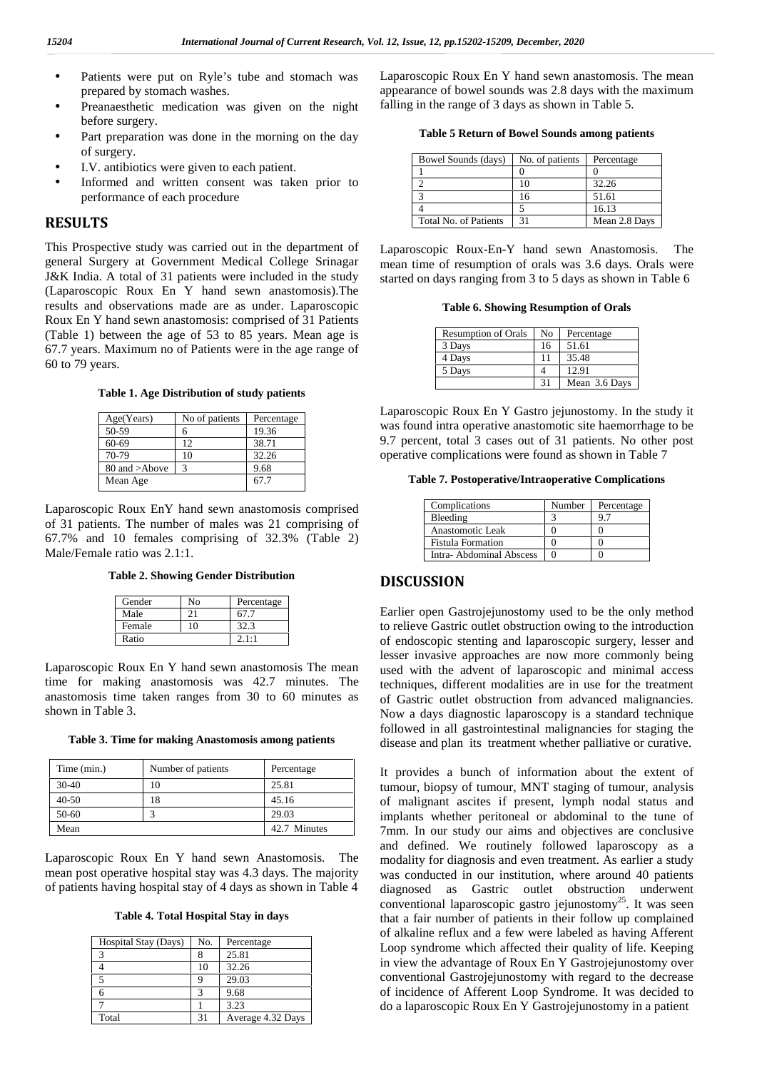- Patients were put on Ryle's tube and stomach was prepared by stomach washes.
- Preanaesthetic medication was given on the night before surgery.
- Part preparation was done in the morning on the day of surgery.
- I.V. antibiotics were given to each patient.
- Informed and written consent was taken prior to performance of each procedure

#### **RESULTS**

This Prospective study was carried out in the department of general Surgery at Government Medical College Srinagar J&K India. A total of 31 patients were included in the study (Laparoscopic Roux En Y hand sewn anastomosis).The results and observations made are as under. Laparoscopic Roux En Y hand sewn anastomosis: comprised of 31 Patients (Table 1) between the age of 53 to 85 years. Mean age is 67.7 years. Maximum no of Patients were in the age range of 60 to 79 years.

**Table 1. Age Distribution of study patients**

| Age(Years)    | No of patients | Percentage |
|---------------|----------------|------------|
| 50-59         |                | 19.36      |
| 60-69         | 12             | 38.71      |
| 70-79         | 10             | 32.26      |
| 80 and >Above |                | 9.68       |
| Mean Age      |                | 67.7       |
|               |                |            |

Laparoscopic Roux EnY hand sewn anastomosis comprised of 31 patients. The number of males was 21 comprising of 67.7% and 10 females comprising of 32.3% (Table 2) Male/Female ratio was 2.1:1.

**Table 2. Showing Gender Distribution**

| Gender | Nο | Percentage |  |
|--------|----|------------|--|
| Male   |    | 67.7       |  |
| Female | 10 | 32.3       |  |
| Ratio  |    | 2.1:1      |  |

Laparoscopic Roux En Y hand sewn anastomosis The mean time for making anastomosis was 42.7 minutes. The anastomosis time taken ranges from 30 to 60 minutes as shown in Table 3.

**Table 3. Time for making Anastomosis among patients**

| Time (min.) | Number of patients | Percentage   |
|-------------|--------------------|--------------|
| $30-40$     | 10                 | 25.81        |
| $40 - 50$   | 18                 | 45.16        |
| 50-60       |                    | 29.03        |
| Mean        |                    | 42.7 Minutes |

Laparoscopic Roux En Y hand sewn Anastomosis. The mean post operative hospital stay was 4.3 days. The majority of patients having hospital stay of 4 days as shown in Table 4

**Table 4. Total Hospital Stay in days**

| Hospital Stay (Days) | No. | Percentage        |
|----------------------|-----|-------------------|
|                      |     | 25.81             |
|                      | 10  | 32.26             |
|                      |     | 29.03             |
|                      |     | 9.68              |
|                      |     | 3.23              |
| Total                | 31  | Average 4.32 Days |

Laparoscopic Roux En Y hand sewn anastomosis. The mean appearance of bowel sounds was 2.8 days with the maximum falling in the range of 3 days as shown in Table 5.

**Table 5 Return of Bowel Sounds among patients**

| Bowel Sounds (days)   | No. of patients | Percentage    |
|-----------------------|-----------------|---------------|
|                       |                 |               |
|                       |                 | 32.26         |
|                       |                 | 51.61         |
|                       |                 | 16.13         |
| Total No. of Patients |                 | Mean 2.8 Days |

Laparoscopic Roux-En-Y hand sewn Anastomosis. The mean time of resumption of orals was 3.6 days. Orals were started on days ranging from 3 to 5 days as shown in Table 6

**Table 6. Showing Resumption of Orals**

| <b>Resumption of Orals</b> | No | Percentage    |
|----------------------------|----|---------------|
| 3 Days                     | 16 | 51.61         |
| 4 Days                     | 11 | 35.48         |
| 5 Days                     |    | 12.91         |
|                            | 31 | Mean 3.6 Days |

Laparoscopic Roux En Y Gastro jejunostomy. In the study it was found intra operative anastomotic site haemorrhage to be 9.7 percent, total 3 cases out of 31 patients. No other post operative complications were found as shown in Table 7

**Table 7. Postoperative/Intraoperative Complications**

| Complications            | Number | Percentage |
|--------------------------|--------|------------|
| Bleeding                 |        |            |
| Anastomotic Leak         |        |            |
| <b>Fistula Formation</b> |        |            |
| Intra-Abdominal Abscess  |        |            |

#### **DISCUSSION**

Earlier open Gastrojejunostomy used to be the only method to relieve Gastric outlet obstruction owing to the introduction of endoscopic stenting and laparoscopic surgery, lesser and lesser invasive approaches are now more commonly being used with the advent of laparoscopic and minimal access techniques, different modalities are in use for the treatment of Gastric outlet obstruction from advanced malignancies. Now a days diagnostic laparoscopy is a standard technique followed in all gastrointestinal malignancies for staging the disease and plan its treatment whether palliative or curative.

It provides a bunch of information about the extent of tumour, biopsy of tumour, MNT staging of tumour, analysis of malignant ascites if present, lymph nodal status and implants whether peritoneal or abdominal to the tune of 7mm. In our study our aims and objectives are conclusive and defined. We routinely followed laparoscopy as a modality for diagnosis and even treatment. As earlier a study was conducted in our institution, where around 40 patients diagnosed as Gastric outlet obstruction underwent conventional laparoscopic gastro jejunostomy<sup>25</sup>. It was seen that a fair number of patients in their follow up complained of alkaline reflux and a few were labeled as having Afferent Loop syndrome which affected their quality of life. Keeping in view the advantage of Roux En Y Gastrojejunostomy over conventional Gastrojejunostomy with regard to the decrease of incidence of Afferent Loop Syndrome. It was decided to do a laparoscopic Roux En Y Gastrojejunostomy in a patient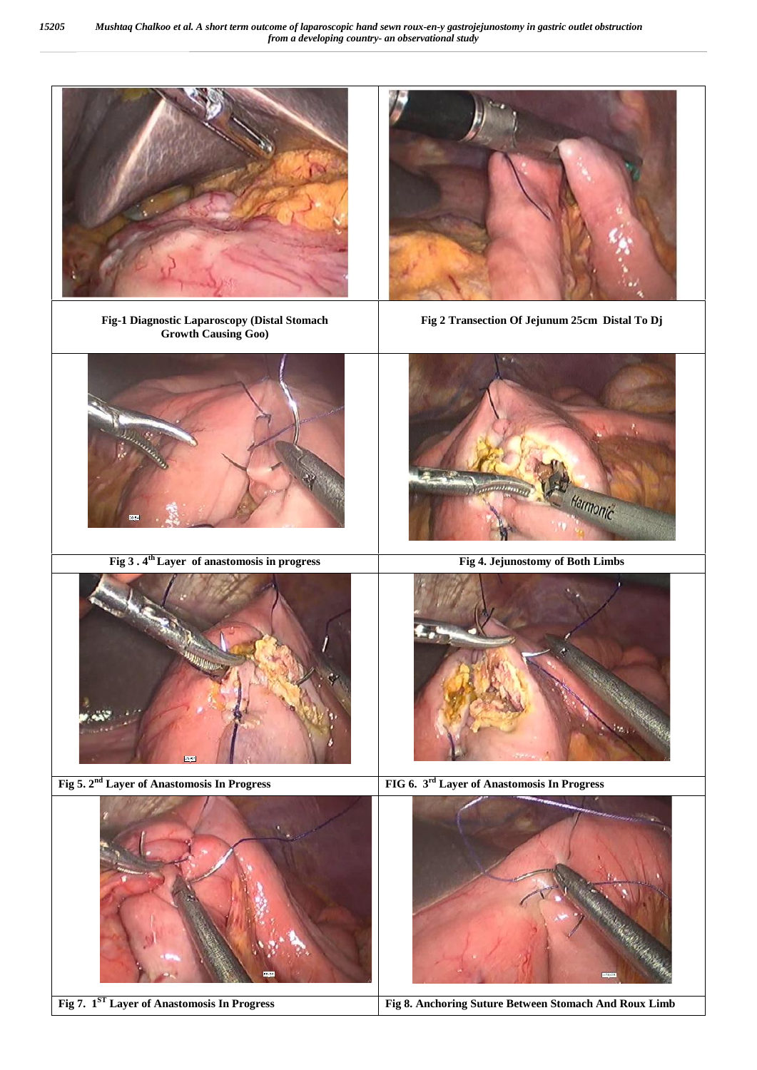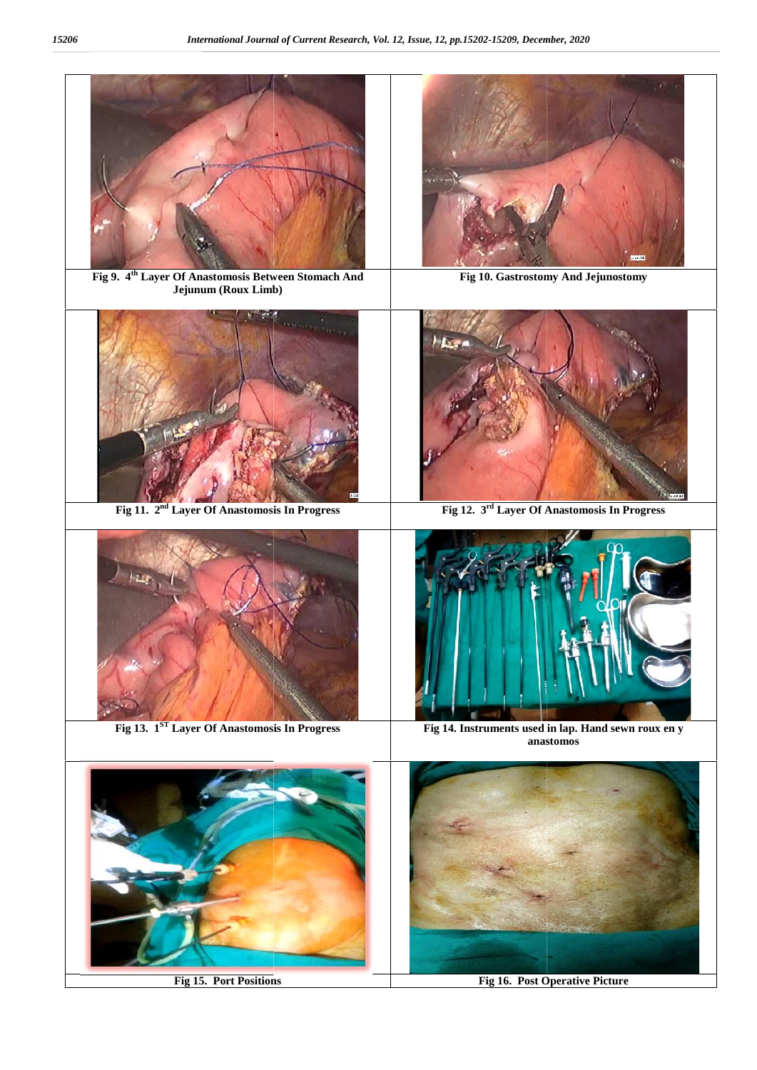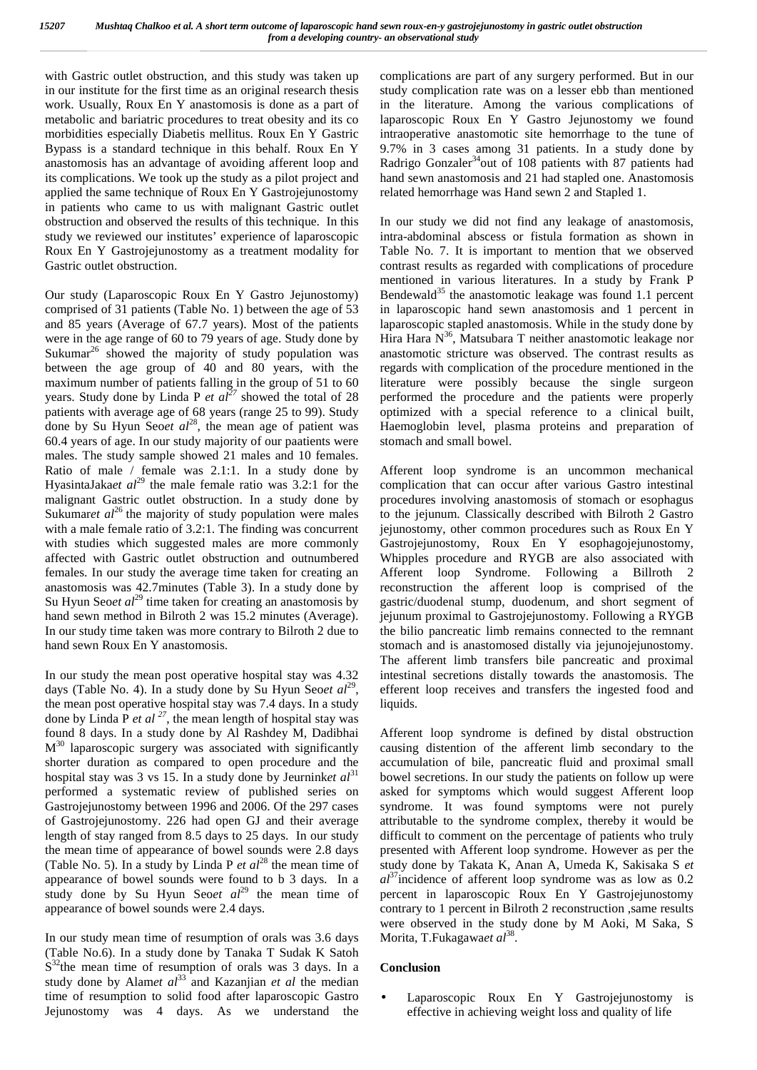with Gastric outlet obstruction, and this study was taken up in our institute for the first time as an original research thesis work. Usually, Roux En Y anastomosis is done as a part of metabolic and bariatric procedures to treat obesity and its co morbidities especially Diabetis mellitus. Roux En Y Gastric Bypass is a standard technique in this behalf. Roux En Y anastomosis has an advantage of avoiding afferent loop and its complications. We took up the study as a pilot project and applied the same technique of Roux En Y Gastrojejunostomy in patients who came to us with malignant Gastric outlet obstruction and observed the results of this technique. In this study we reviewed our institutes' experience of laparoscopic Roux En Y Gastrojejunostomy as a treatment modality for Gastric outlet obstruction.

Our study (Laparoscopic Roux En Y Gastro Jejunostomy) comprised of 31 patients (Table No. 1) between the age of 53 and 85 years (Average of 67.7 years). Most of the patients were in the age range of 60 to 79 years of age. Study done by Sukumar<sup>26</sup> showed the majority of study population was between the age group of 40 and 80 years, with the maximum number of patients falling in the group of 51 to 60 years. Study done by Linda P *et al<sup>27</sup>* showed the total of 28 patients with average age of 68 years (range 25 to 99). Study done by Su Hyun Seo*et al*<sup>28</sup>, the mean age of patient was 60.4 years of age. In our study majority of our paatients were males. The study sample showed 21 males and 10 females. Ratio of male / female was 2.1:1. In a study done by HyasintaJaka*et al*<sup>29</sup> the male female ratio was 3.2:1 for the malignant Gastric outlet obstruction. In a study done by Sukumaret al<sup>26</sup> the majority of study population were males with a male female ratio of 3.2:1. The finding was concurrent with studies which suggested males are more commonly affected with Gastric outlet obstruction and outnumbered females. In our study the average time taken for creating an anastomosis was 42.7minutes (Table 3). In a study done by Su Hyun Seo*et al*<sup>29</sup> time taken for creating an anastomosis by hand sewn method in Bilroth 2 was 15.2 minutes (Average). In our study time taken was more contrary to Bilroth 2 due to hand sewn Roux En Y anastomosis.

In our study the mean post operative hospital stay was 4.32 days (Table No. 4). In a study done by Su Hyun Seo*et al*<sup>29</sup>, e the mean post operative hospital stay was 7.4 days. In a study done by Linda P *et al<sup>27</sup>*, the mean length of hospital stay was found 8 days. In a study done by Al Rashdey M, Dadibhai  $M^{30}$  laparoscopic surgery was associated with significantly causi shorter duration as compared to open procedure and the hospital stay was 3 vs 15. In a study done by Jeurninket  $al<sup>31</sup>$ performed a systematic review of published series on Gastrojejunostomy between 1996 and 2006. Of the 297 cases of Gastrojejunostomy. 226 had open GJ and their average length of stay ranged from 8.5 days to 25 days. In our study the mean time of appearance of bowel sounds were 2.8 days (Table No. 5). In a study by Linda P  $et al^{28}$  the mean time of appearance of bowel sounds were found to b 3 days. In a study done by Su Hyun Seoet  $al^{29}$  the mean time of appearance of bowel sounds were 2.4 days.

In our study mean time of resumption of orals was 3.6 days (Table No.6). In a study done by Tanaka T Sudak K Satoh  $S^{32}$ the mean time of resumption of orals was 3 days. In a Cor study done by Alamet al<sup>33</sup> and Kazanjian *et al* the median time of resumption to solid food after laparoscopic Gastro Jejunostomy was 4 days. As we understand the

complications are part of any surgery performed. But in our study complication rate was on a lesser ebb than mentioned in the literature. Among the various complications of laparoscopic Roux En Y Gastro Jejunostomy we found intraoperative anastomotic site hemorrhage to the tune of 9.7% in 3 cases among 31 patients. In a study done by Radrigo Gonzaler<sup>34</sup>out of 108 patients with 87 patients had hand sewn anastomosis and 21 had stapled one. Anastomosis related hemorrhage was Hand sewn 2 and Stapled 1.

In our study we did not find any leakage of anastomosis, intra-abdominal abscess or fistula formation as shown in Table No. 7. It is important to mention that we observed contrast results as regarded with complications of procedure mentioned in various literatures. In a study by Frank P Bendewald<sup>35</sup> the anastomotic leakage was found 1.1 percent in laparoscopic hand sewn anastomosis and 1 percent in laparoscopic stapled anastomosis. While in the study done by Hira Hara  $N^{36}$ , Matsubara T neither anastomotic leakage nor anastomotic stricture was observed. The contrast results as regards with complication of the procedure mentioned in the literature were possibly because the single surgeon performed the procedure and the patients were properly optimized with a special reference to a clinical built, Haemoglobin level, plasma proteins and preparation of stomach and small bowel.

Afferent loop syndrome is an uncommon mechanical complication that can occur after various Gastro intestinal procedures involving anastomosis of stomach or esophagus to the jejunum. Classically described with Bilroth 2 Gastro jejunostomy, other common procedures such as Roux En Y Gastrojejunostomy, Roux En Y esophagojejunostomy, Whipples procedure and RYGB are also associated with Afferent loop Syndrome. Following a Billroth 2 reconstruction the afferent loop is comprised of the gastric/duodenal stump, duodenum, and short segment of jejunum proximal to Gastrojejunostomy. Following a RYGB the bilio pancreatic limb remains connected to the remnant stomach and is anastomosed distally via jejunojejunostomy. The afferent limb transfers bile pancreatic and proximal intestinal secretions distally towards the anastomosis. The efferent loop receives and transfers the ingested food and liquids.

Afferent loop syndrome is defined by distal obstruction causing distention of the afferent limb secondary to the accumulation of bile, pancreatic fluid and proximal small bowel secretions. In our study the patients on follow up were asked for symptoms which would suggest Afferent loop syndrome. It was found symptoms were not purely attributable to the syndrome complex, thereby it would be difficult to comment on the percentage of patients who truly presented with Afferent loop syndrome. However as per the study done by Takata K, Anan A, Umeda K, Sakisaka S *et al*<sup>37</sup>incidence of afferent loop syndrome was as low as 0.2 percent in laparoscopic Roux En Y Gastrojejunostomy contrary to 1 percent in Bilroth 2 reconstruction ,same results were observed in the study done by M Aoki, M Saka, S Morita, T.Fukagawa*et al*<sup>38</sup> .

#### **Conclusion**

 Laparoscopic Roux En Y Gastrojejunostomy is effective in achieving weight loss and quality of life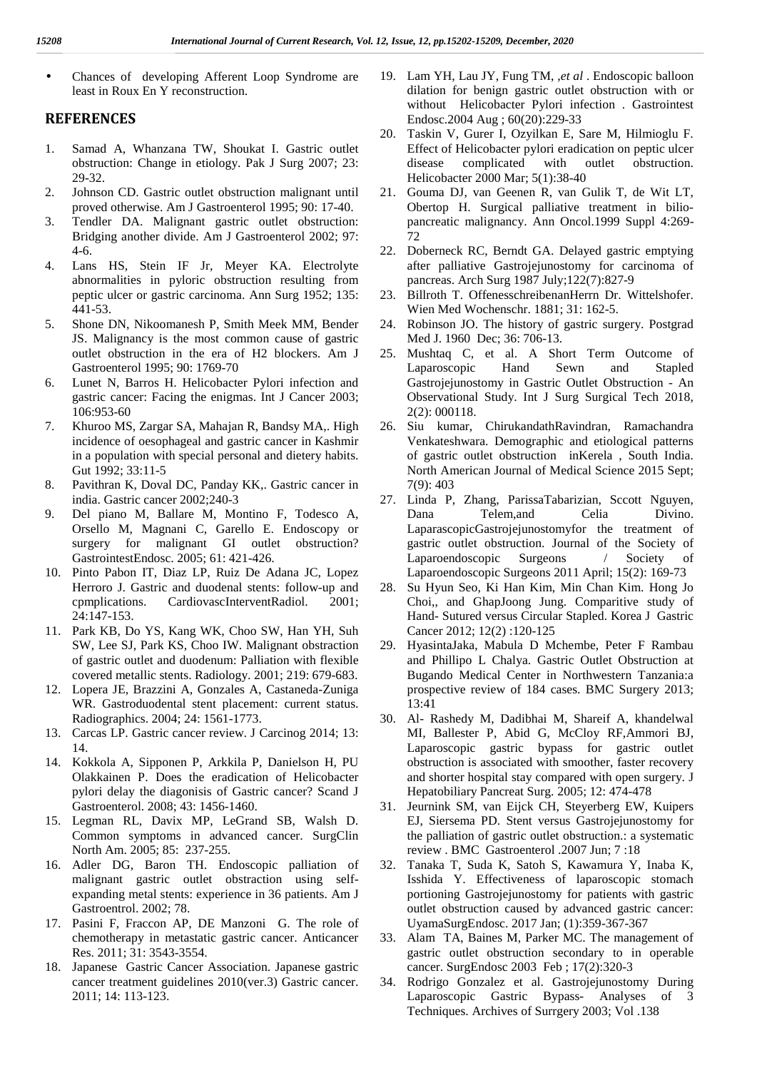Chances of developing Afferent Loop Syndrome are least in Roux En Y reconstruction.

#### **REFERENCES**

- 1. Samad A, Whanzana TW, Shoukat I. Gastric outlet obstruction: Change in etiology. Pak J Surg 2007; 23: 29-32.
- 2. Johnson CD. Gastric outlet obstruction malignant until proved otherwise. Am J Gastroenterol 1995; 90: 17-40.
- 3. Tendler DA. Malignant gastric outlet obstruction: Bridging another divide. Am J Gastroenterol 2002; 97: 4-6.
- 4. Lans HS, Stein IF Jr, Meyer KA. Electrolyte abnormalities in pyloric obstruction resulting from peptic ulcer or gastric carcinoma. Ann Surg 1952; 135: 441-53.
- 5. Shone DN, Nikoomanesh P, Smith Meek MM, Bender JS. Malignancy is the most common cause of gastric outlet obstruction in the era of H2 blockers. Am J Gastroenterol 1995; 90: 1769-70
- 6. Lunet N, Barros H. Helicobacter Pylori infection and gastric cancer: Facing the enigmas. Int J Cancer 2003; 106:953-60
- 7. Khuroo MS, Zargar SA, Mahajan R, Bandsy MA,. High incidence of oesophageal and gastric cancer in Kashmir in a population with special personal and dietery habits. Gut 1992; 33:11-5
- 8. Pavithran K, Doval DC, Panday KK,. Gastric cancer in india. Gastric cancer 2002;240-3
- 9. Del piano M, Ballare M, Montino F, Todesco A, Orsello M, Magnani C, Garello E. Endoscopy or surgery for malignant GI outlet obstruction? GastrointestEndosc. 2005; 61: 421-426.
- 10. Pinto Pabon IT, Diaz LP, Ruiz De Adana JC, Lopez Herroro J. Gastric and duodenal stents: follow-up and 28. cpmplications. CardiovascInterventRadiol. 2001; 24:147-153.
- 11. Park KB, Do YS, Kang WK, Choo SW, Han YH, Suh SW, Lee SJ, Park KS, Choo IW. Malignant obstraction of gastric outlet and duodenum: Palliation with flexible covered metallic stents. Radiology. 2001; 219: 679-683.
- 12. Lopera JE, Brazzini A, Gonzales A, Castaneda-Zuniga WR. Gastroduodental stent placement: current status. Radiographics. 2004; 24: 1561-1773.
- 13. Carcas LP. Gastric cancer review. J Carcinog 2014; 13: 14.
- 14. Kokkola A, Sipponen P, Arkkila P, Danielson H, PU Olakkainen P. Does the eradication of Helicobacter pylori delay the diagonisis of Gastric cancer? Scand J Gastroenterol. 2008; 43: 1456-1460.
- 15. Legman RL, Davix MP, LeGrand SB, Walsh D. Common symptoms in advanced cancer. SurgClin North Am. 2005; 85: 237-255.
- 16. Adler DG, Baron TH. Endoscopic palliation of malignant gastric outlet obstraction using self expanding metal stents: experience in 36 patients. Am J Gastroentrol. 2002; 78.
- 17. Pasini F, Fraccon AP, DE Manzoni G. The role of chemotherapy in metastatic gastric cancer. Anticancer Res. 2011; 31: 3543-3554.
- 18. Japanese Gastric Cancer Association. Japanese gastric cancer treatment guidelines 2010(ver.3) Gastric cancer. 2011; 14: 113-123.
- 19. Lam YH, Lau JY, Fung TM, ,*et al* . Endoscopic balloon dilation for benign gastric outlet obstruction with or without Helicobacter Pylori infection . Gastrointest Endosc.2004 Aug ; 60(20):229-33
- 20. Taskin V, Gurer I, Ozyilkan E, Sare M, Hilmioglu F. Effect of Helicobacter pylori eradication on peptic ulcer disease complicated with outlet obstruction. Helicobacter 2000 Mar; 5(1):38-40
- 21. Gouma DJ, van Geenen R, van Gulik T, de Wit LT, Obertop H. Surgical palliative treatment in bilio pancreatic malignancy. Ann Oncol.1999 Suppl 4:269- 72
- 22. Doberneck RC, Berndt GA. Delayed gastric emptying after palliative Gastrojejunostomy for carcinoma of pancreas. Arch Surg 1987 July;122(7):827-9
- 23. Billroth T. OffenesschreibenanHerrn Dr. Wittelshofer. Wien Med Wochenschr. 1881; 31: 162-5.
- Robinson JO. The history of gastric surgery. Postgrad Med J. 1960 Dec; 36: 706-13.
- 25. Mushtaq C, et al. A Short Term Outcome of Laparoscopic Hand Sewn and Stapled Gastrojejunostomy in Gastric Outlet Obstruction - An Observational Study. Int J Surg Surgical Tech 2018, 2(2): 000118.
- 26. Siu kumar, ChirukandathRavindran, Ramachandra Venkateshwara. Demographic and etiological patterns of gastric outlet obstruction inKerela , South India. North American Journal of Medical Science 2015 Sept; 7(9): 403
- 27. Linda P, Zhang, ParissaTabarizian, Sccott Nguyen, Dana Telem,and Celia Divino. LaparascopicGastrojejunostomyfor the treatment of gastric outlet obstruction. Journal of the Society of Laparoendoscopic Surgeons / Society of Laparoendoscopic Surgeons 2011 April; 15(2): 169-73
- 28. Su Hyun Seo, Ki Han Kim, Min Chan Kim. Hong Jo Choi,, and GhapJoong Jung. Comparitive study of Hand- Sutured versus Circular Stapled. Korea J Gastric Cancer 2012; 12(2) :120-125
- 29. HyasintaJaka, Mabula D Mchembe, Peter F Rambau and Phillipo L Chalya. Gastric Outlet Obstruction at Bugando Medical Center in Northwestern Tanzania:a prospective review of 184 cases. BMC Surgery 2013; 13:41
- 30. Al- Rashedy M, Dadibhai M, Shareif A, khandelwal MI, Ballester P, Abid G, McCloy RF,Ammori BJ, Laparoscopic gastric bypass for gastric outlet obstruction is associated with smoother, faster recovery and shorter hospital stay compared with open surgery. J Hepatobiliary Pancreat Surg. 2005; 12: 474-478
- 31. Jeurnink SM, van Eijck CH, Steyerberg EW, Kuipers EJ, Siersema PD. Stent versus Gastrojejunostomy for the palliation of gastric outlet obstruction.: a systematic review . BMC Gastroenterol .2007 Jun; 7 :18
- 32. Tanaka T, Suda K, Satoh S, Kawamura Y, Inaba K, Isshida Y. Effectiveness of laparoscopic stomach portioning Gastrojejunostomy for patients with gastric outlet obstruction caused by advanced gastric cancer: UyamaSurgEndosc. 2017 Jan; (1):359-367-367
- Alam TA, Baines M, Parker MC. The management of gastric outlet obstruction secondary to in operable cancer. SurgEndosc 2003 Feb ; 17(2):320-3
- 34. Rodrigo Gonzalez et al. Gastrojejunostomy During Laparoscopic Gastric Bypass- Analyses of 3 Techniques. Archives of Surrgery 2003; Vol .138